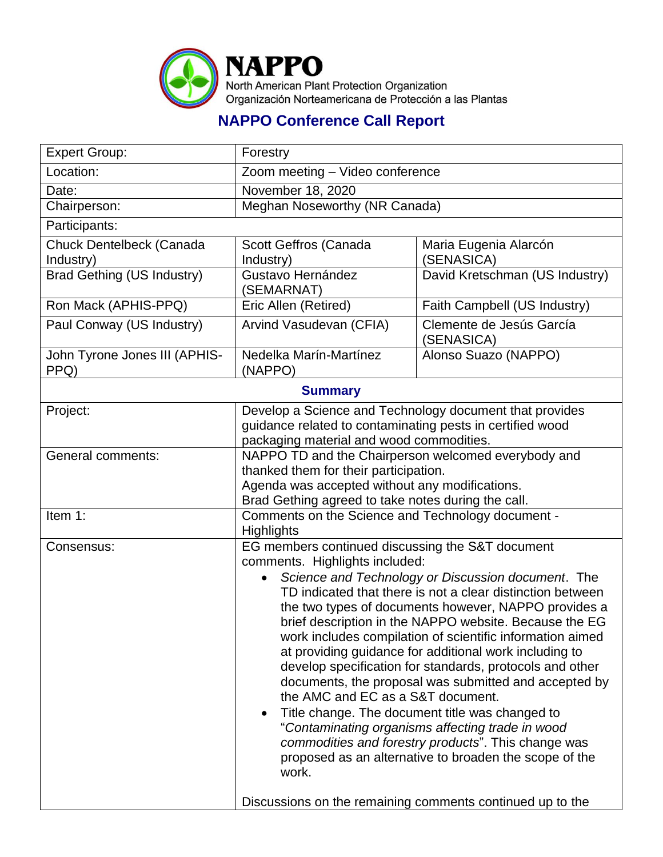

## **NAPPO Conference Call Report**

| <b>Expert Group:</b>                  | Forestry                                                                                                                                                                                                                                                                                                                                                                                                                                                                                                                                                                                                                                                                                                                                                                                                                                                                                                |                                        |  |
|---------------------------------------|---------------------------------------------------------------------------------------------------------------------------------------------------------------------------------------------------------------------------------------------------------------------------------------------------------------------------------------------------------------------------------------------------------------------------------------------------------------------------------------------------------------------------------------------------------------------------------------------------------------------------------------------------------------------------------------------------------------------------------------------------------------------------------------------------------------------------------------------------------------------------------------------------------|----------------------------------------|--|
| Location:                             | Zoom meeting - Video conference                                                                                                                                                                                                                                                                                                                                                                                                                                                                                                                                                                                                                                                                                                                                                                                                                                                                         |                                        |  |
| Date:                                 | November 18, 2020                                                                                                                                                                                                                                                                                                                                                                                                                                                                                                                                                                                                                                                                                                                                                                                                                                                                                       |                                        |  |
| Chairperson:                          | Meghan Noseworthy (NR Canada)                                                                                                                                                                                                                                                                                                                                                                                                                                                                                                                                                                                                                                                                                                                                                                                                                                                                           |                                        |  |
| Participants:                         |                                                                                                                                                                                                                                                                                                                                                                                                                                                                                                                                                                                                                                                                                                                                                                                                                                                                                                         |                                        |  |
| Chuck Dentelbeck (Canada<br>Industry) | Scott Geffros (Canada<br>Industry)                                                                                                                                                                                                                                                                                                                                                                                                                                                                                                                                                                                                                                                                                                                                                                                                                                                                      | Maria Eugenia Alarcón<br>(SENASICA)    |  |
| <b>Brad Gething (US Industry)</b>     | Gustavo Hernández<br>(SEMARNAT)                                                                                                                                                                                                                                                                                                                                                                                                                                                                                                                                                                                                                                                                                                                                                                                                                                                                         | David Kretschman (US Industry)         |  |
| Ron Mack (APHIS-PPQ)                  | Eric Allen (Retired)                                                                                                                                                                                                                                                                                                                                                                                                                                                                                                                                                                                                                                                                                                                                                                                                                                                                                    | Faith Campbell (US Industry)           |  |
| Paul Conway (US Industry)             | Arvind Vasudevan (CFIA)                                                                                                                                                                                                                                                                                                                                                                                                                                                                                                                                                                                                                                                                                                                                                                                                                                                                                 | Clemente de Jesús García<br>(SENASICA) |  |
| John Tyrone Jones III (APHIS-<br>PPQ) | Nedelka Marín-Martínez<br>(NAPPO)                                                                                                                                                                                                                                                                                                                                                                                                                                                                                                                                                                                                                                                                                                                                                                                                                                                                       | Alonso Suazo (NAPPO)                   |  |
| <b>Summary</b>                        |                                                                                                                                                                                                                                                                                                                                                                                                                                                                                                                                                                                                                                                                                                                                                                                                                                                                                                         |                                        |  |
| Project:                              | Develop a Science and Technology document that provides<br>guidance related to contaminating pests in certified wood<br>packaging material and wood commodities.                                                                                                                                                                                                                                                                                                                                                                                                                                                                                                                                                                                                                                                                                                                                        |                                        |  |
| <b>General comments:</b>              | NAPPO TD and the Chairperson welcomed everybody and<br>thanked them for their participation.<br>Agenda was accepted without any modifications.<br>Brad Gething agreed to take notes during the call.                                                                                                                                                                                                                                                                                                                                                                                                                                                                                                                                                                                                                                                                                                    |                                        |  |
| Item 1:                               | Comments on the Science and Technology document -<br>Highlights                                                                                                                                                                                                                                                                                                                                                                                                                                                                                                                                                                                                                                                                                                                                                                                                                                         |                                        |  |
| Consensus:                            | EG members continued discussing the S&T document<br>comments. Highlights included:<br>Science and Technology or Discussion document. The<br>TD indicated that there is not a clear distinction between<br>the two types of documents however, NAPPO provides a<br>brief description in the NAPPO website. Because the EG<br>work includes compilation of scientific information aimed<br>at providing guidance for additional work including to<br>develop specification for standards, protocols and other<br>documents, the proposal was submitted and accepted by<br>the AMC and EC as a S&T document.<br>Title change. The document title was changed to<br>"Contaminating organisms affecting trade in wood<br>commodities and forestry products". This change was<br>proposed as an alternative to broaden the scope of the<br>work.<br>Discussions on the remaining comments continued up to the |                                        |  |